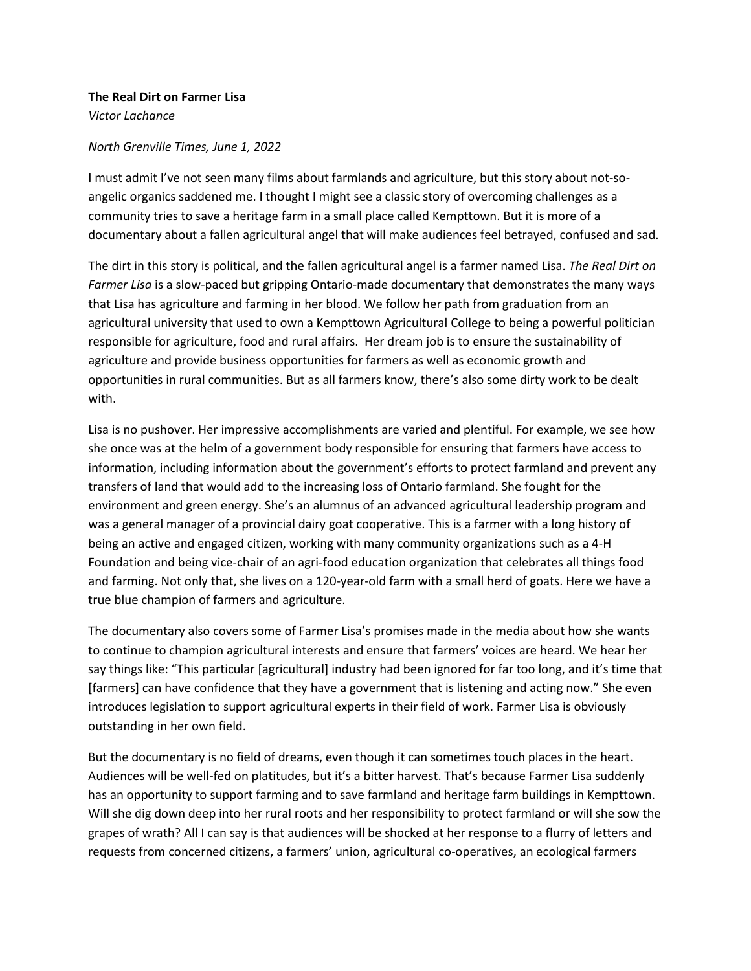## **The Real Dirt on Farmer Lisa**

*Victor Lachance*

## *North Grenville Times, June 1, 2022*

I must admit I've not seen many films about farmlands and agriculture, but this story about not-soangelic organics saddened me. I thought I might see a classic story of overcoming challenges as a community tries to save a heritage farm in a small place called Kempttown. But it is more of a documentary about a fallen agricultural angel that will make audiences feel betrayed, confused and sad.

The dirt in this story is political, and the fallen agricultural angel is a farmer named Lisa. *The Real Dirt on Farmer Lisa* is a slow-paced but gripping Ontario-made documentary that demonstrates the many ways that Lisa has agriculture and farming in her blood. We follow her path from graduation from an agricultural university that used to own a Kempttown Agricultural College to being a powerful politician responsible for agriculture, food and rural affairs. Her dream job is to ensure the sustainability of agriculture and provide business opportunities for farmers as well as economic growth and opportunities in rural communities. But as all farmers know, there's also some dirty work to be dealt with.

Lisa is no pushover. Her impressive accomplishments are varied and plentiful. For example, we see how she once was at the helm of a government body responsible for ensuring that farmers have access to information, including information about the government's efforts to protect farmland and prevent any transfers of land that would add to the increasing loss of Ontario farmland. She fought for the environment and green energy. She's an alumnus of an advanced agricultural leadership program and was a general manager of a provincial dairy goat cooperative. This is a farmer with a long history of being an active and engaged citizen, working with many community organizations such as a 4-H Foundation and being vice-chair of an agri-food education organization that celebrates all things food and farming. Not only that, she lives on a 120-year-old farm with a small herd of goats. Here we have a true blue champion of farmers and agriculture.

The documentary also covers some of Farmer Lisa's promises made in the media about how she wants to continue to champion agricultural interests and ensure that farmers' voices are heard. We hear her say things like: "This particular [agricultural] industry had been ignored for far too long, and it's time that [farmers] can have confidence that they have a government that is listening and acting now." She even introduces legislation to support agricultural experts in their field of work. Farmer Lisa is obviously outstanding in her own field.

But the documentary is no field of dreams, even though it can sometimes touch places in the heart. Audiences will be well-fed on platitudes, but it's a bitter harvest. That's because Farmer Lisa suddenly has an opportunity to support farming and to save farmland and heritage farm buildings in Kempttown. Will she dig down deep into her rural roots and her responsibility to protect farmland or will she sow the grapes of wrath? All I can say is that audiences will be shocked at her response to a flurry of letters and requests from concerned citizens, a farmers' union, agricultural co-operatives, an ecological farmers